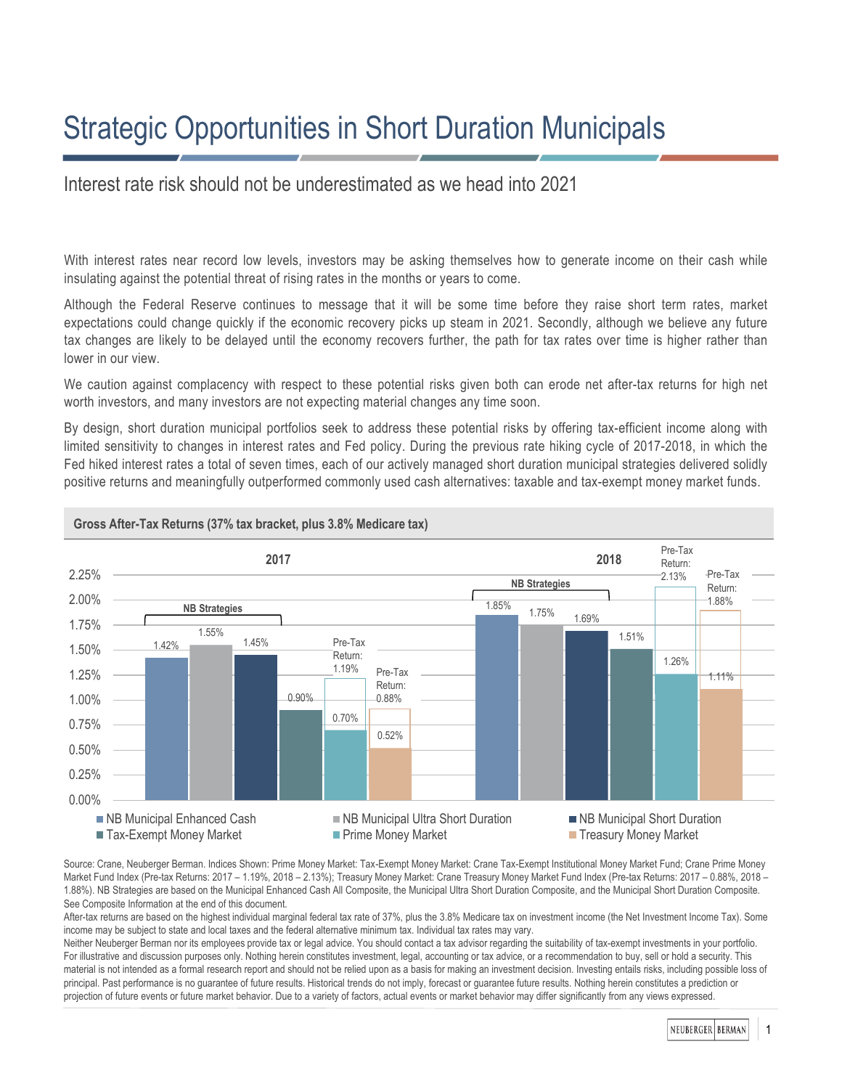# Strategic Opportunities in Short Duration Municipals

## Interest rate risk should not be underestimated as we head into 2021

With interest rates near record low levels, investors may be asking themselves how to generate income on their cash while insulating against the potential threat of rising rates in the months or years to come.

Although the Federal Reserve continues to message that it will be some time before they raise short term rates, market expectations could change quickly if the economic recovery picks up steam in 2021. Secondly, although we believe any future tax changes are likely to be delayed until the economy recovers further, the path for tax rates over time is higher rather than lower in our view.

We caution against complacency with respect to these potential risks given both can erode net after-tax returns for high net worth investors, and many investors are not expecting material changes any time soon.

By design, short duration municipal portfolios seek to address these potential risks by offering tax-efficient income along with limited sensitivity to changes in interest rates and Fed policy. During the previous rate hiking cycle of 2017-2018, in which the Fed hiked interest rates a total of seven times, each of our actively managed short duration municipal strategies delivered solidly positive returns and meaningfully outperformed commonly used cash alternatives: taxable and tax-exempt money market funds.



Source: Crane, Neuberger Berman. Indices Shown: Prime Money Market: Tax-Exempt Money Market: Crane Tax-Exempt Institutional Money Market Fund; Crane Prime Money Market Fund Index (Pre-tax Returns: 2017 – 1.19%, 2018 – 2.13%); Treasury Money Market: Crane Treasury Money Market Fund Index (Pre-tax Returns: 2017 – 0.88%, 2018 – 1.88%). NB Strategies are based on the Municipal Enhanced Cash All Composite, the Municipal Ultra Short Duration Composite, and the Municipal Short Duration Composite. See Composite Information at the end of this document.

After-tax returns are based on the highest individual marginal federal tax rate of 37%, plus the 3.8% Medicare tax on investment income (the Net Investment Income Tax). Some income may be subject to state and local taxes and the federal alternative minimum tax. Individual tax rates may vary.

Neither Neuberger Berman nor its employees provide tax or legal advice. You should contact a tax advisor regarding the suitability of tax-exempt investments in your portfolio. For illustrative and discussion purposes only. Nothing herein constitutes investment, legal, accounting or tax advice, or a recommendation to buy, sell or hold a security. This material is not intended as a formal research report and should not be relied upon as a basis for making an investment decision. Investing entails risks, including possible loss of principal. Past performance is no guarantee of future results. Historical trends do not imply, forecast or guarantee future results. Nothing herein constitutes a prediction or projection of future events or future market behavior. Due to a variety of factors, actual events or market behavior may differ significantly from any views expressed.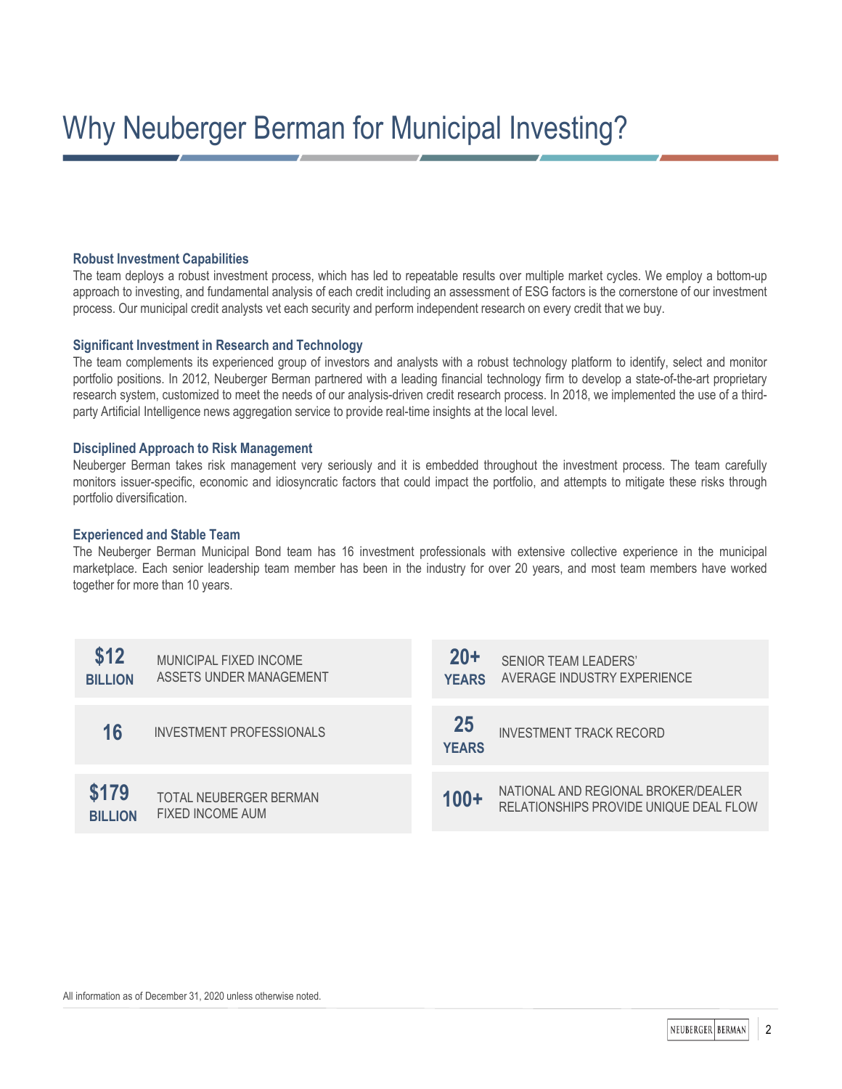## **Robust Investment Capabilities**

The team deploys a robust investment process, which has led to repeatable results over multiple market cycles. We employ a bottom-up approach to investing, and fundamental analysis of each credit including an assessment of ESG factors is the cornerstone of our investment process. Our municipal credit analysts vet each security and perform independent research on every credit that we buy.

### **Significant Investment in Research and Technology**

The team complements its experienced group of investors and analysts with a robust technology platform to identify, select and monitor portfolio positions. In 2012, Neuberger Berman partnered with a leading financial technology firm to develop a state-of-the-art proprietary research system, customized to meet the needs of our analysis-driven credit research process. In 2018, we implemented the use of a thirdparty Artificial Intelligence news aggregation service to provide real-time insights at the local level.

## **Disciplined Approach to Risk Management**

Neuberger Berman takes risk management very seriously and it is embedded throughout the investment process. The team carefully monitors issuer-specific, economic and idiosyncratic factors that could impact the portfolio, and attempts to mitigate these risks through portfolio diversification.

## **Experienced and Stable Team**

The Neuberger Berman Municipal Bond team has 16 investment professionals with extensive collective experience in the municipal marketplace. Each senior leadership team member has been in the industry for over 20 years, and most team members have worked together for more than 10 years.

| \$12<br><b>BILLION</b>  | MUNICIPAL FIXED INCOME<br>ASSETS UNDER MANAGEMENT | $20+$<br><b>YEARS</b> | <b>SENIOR TEAM LEADERS'</b><br>AVERAGE INDUSTRY EXPERIENCE                    |
|-------------------------|---------------------------------------------------|-----------------------|-------------------------------------------------------------------------------|
| 16                      | <b>INVESTMENT PROFESSIONALS</b>                   | 25<br><b>YEARS</b>    | <b>INVESTMENT TRACK RECORD</b>                                                |
| \$179<br><b>BILLION</b> | <b>TOTAL NEUBERGER BERMAN</b><br>FIXED INCOME AUM | $100+$                | NATIONAL AND REGIONAL BROKER/DEALER<br>RELATIONSHIPS PROVIDE UNIQUE DEAL FLOW |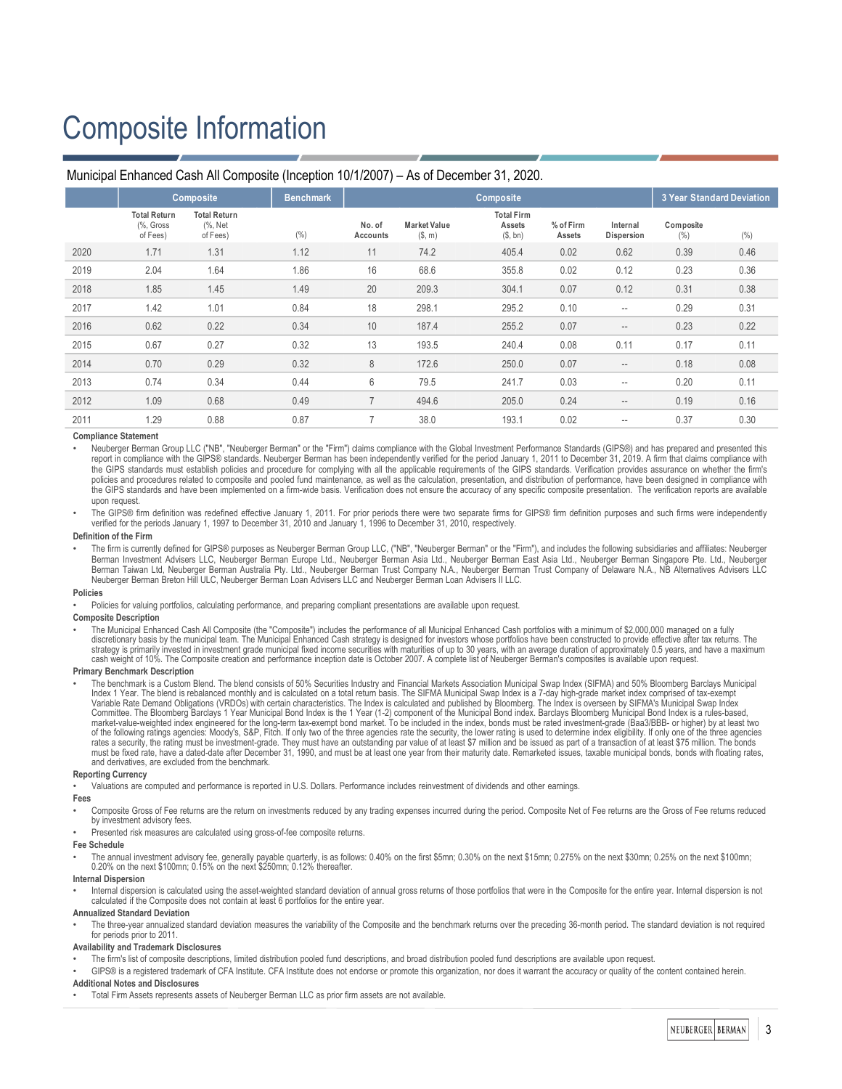## Composite Information

| IVIUHICIDAI ETIHAHCEU CASH AII COMPOSITE (INCEDIONI TV/T/2007) – AS OF DECEMBER 31, 2020.                                                                                                                                                                                                                                                                                                                                                                                                                                                                                                                                                                                                                                                                                                                                                                                                                                                                                                                                                                                                                                                                                                                                                                                                                                                                                                                                                                                                                                                                                                                                                                                                                                                                                                                                                                                                                                                                                                                                                                                                                                                                                                                                                                                                                                                                                                                                                                                                                                                                                                                                                                                                                                                                                                                                                                                                                                                                                                                                                                                                                                                                                                                                                                                                                                                                                                                                                                                                                                                                                                                                                                                                                                                                                                                                                                                                                                                                                                                                                                                                                                                                                                                                                                                                                                                                                                                                                                                                                                                                                                                                                                             |                                                                                                                                                                                                                                                                                                                                                                                                                 |                                            |                  |                    |                                |                                         |                     |                                                     |                                  |      |  |
|-----------------------------------------------------------------------------------------------------------------------------------------------------------------------------------------------------------------------------------------------------------------------------------------------------------------------------------------------------------------------------------------------------------------------------------------------------------------------------------------------------------------------------------------------------------------------------------------------------------------------------------------------------------------------------------------------------------------------------------------------------------------------------------------------------------------------------------------------------------------------------------------------------------------------------------------------------------------------------------------------------------------------------------------------------------------------------------------------------------------------------------------------------------------------------------------------------------------------------------------------------------------------------------------------------------------------------------------------------------------------------------------------------------------------------------------------------------------------------------------------------------------------------------------------------------------------------------------------------------------------------------------------------------------------------------------------------------------------------------------------------------------------------------------------------------------------------------------------------------------------------------------------------------------------------------------------------------------------------------------------------------------------------------------------------------------------------------------------------------------------------------------------------------------------------------------------------------------------------------------------------------------------------------------------------------------------------------------------------------------------------------------------------------------------------------------------------------------------------------------------------------------------------------------------------------------------------------------------------------------------------------------------------------------------------------------------------------------------------------------------------------------------------------------------------------------------------------------------------------------------------------------------------------------------------------------------------------------------------------------------------------------------------------------------------------------------------------------------------------------------------------------------------------------------------------------------------------------------------------------------------------------------------------------------------------------------------------------------------------------------------------------------------------------------------------------------------------------------------------------------------------------------------------------------------------------------------------------------------------------------------------------------------------------------------------------------------------------------------------------------------------------------------------------------------------------------------------------------------------------------------------------------------------------------------------------------------------------------------------------------------------------------------------------------------------------------------------------------------------------------------------------------------------------------------------------------------------------------------------------------------------------------------------------------------------------------------------------------------------------------------------------------------------------------------------------------------------------------------------------------------------------------------------------------------------------------------------------------------------------------------------------------------------------------|-----------------------------------------------------------------------------------------------------------------------------------------------------------------------------------------------------------------------------------------------------------------------------------------------------------------------------------------------------------------------------------------------------------------|--------------------------------------------|------------------|--------------------|--------------------------------|-----------------------------------------|---------------------|-----------------------------------------------------|----------------------------------|------|--|
|                                                                                                                                                                                                                                                                                                                                                                                                                                                                                                                                                                                                                                                                                                                                                                                                                                                                                                                                                                                                                                                                                                                                                                                                                                                                                                                                                                                                                                                                                                                                                                                                                                                                                                                                                                                                                                                                                                                                                                                                                                                                                                                                                                                                                                                                                                                                                                                                                                                                                                                                                                                                                                                                                                                                                                                                                                                                                                                                                                                                                                                                                                                                                                                                                                                                                                                                                                                                                                                                                                                                                                                                                                                                                                                                                                                                                                                                                                                                                                                                                                                                                                                                                                                                                                                                                                                                                                                                                                                                                                                                                                                                                                                                       | <b>Composite</b>                                                                                                                                                                                                                                                                                                                                                                                                |                                            | <b>Benchmark</b> | <b>Composite</b>   |                                |                                         |                     |                                                     | <b>3 Year Standard Deviation</b> |      |  |
|                                                                                                                                                                                                                                                                                                                                                                                                                                                                                                                                                                                                                                                                                                                                                                                                                                                                                                                                                                                                                                                                                                                                                                                                                                                                                                                                                                                                                                                                                                                                                                                                                                                                                                                                                                                                                                                                                                                                                                                                                                                                                                                                                                                                                                                                                                                                                                                                                                                                                                                                                                                                                                                                                                                                                                                                                                                                                                                                                                                                                                                                                                                                                                                                                                                                                                                                                                                                                                                                                                                                                                                                                                                                                                                                                                                                                                                                                                                                                                                                                                                                                                                                                                                                                                                                                                                                                                                                                                                                                                                                                                                                                                                                       | <b>Total Return</b><br>(%, Gross<br>of Fees)                                                                                                                                                                                                                                                                                                                                                                    | <b>Total Return</b><br>(%, Net<br>of Fees) | (% )             | No. of<br>Accounts | <b>Market Value</b><br>(\$, m) | <b>Total Firm</b><br>Assets<br>(\$, bn) | % of Firm<br>Assets | Internal<br>Dispersion                              | Composite<br>(%)                 | (% ) |  |
| 2020                                                                                                                                                                                                                                                                                                                                                                                                                                                                                                                                                                                                                                                                                                                                                                                                                                                                                                                                                                                                                                                                                                                                                                                                                                                                                                                                                                                                                                                                                                                                                                                                                                                                                                                                                                                                                                                                                                                                                                                                                                                                                                                                                                                                                                                                                                                                                                                                                                                                                                                                                                                                                                                                                                                                                                                                                                                                                                                                                                                                                                                                                                                                                                                                                                                                                                                                                                                                                                                                                                                                                                                                                                                                                                                                                                                                                                                                                                                                                                                                                                                                                                                                                                                                                                                                                                                                                                                                                                                                                                                                                                                                                                                                  | 1.71                                                                                                                                                                                                                                                                                                                                                                                                            | 1.31                                       | 1.12             | 11                 | 74.2                           | 405.4                                   | 0.02                | 0.62                                                | 0.39                             | 0.46 |  |
| 2019                                                                                                                                                                                                                                                                                                                                                                                                                                                                                                                                                                                                                                                                                                                                                                                                                                                                                                                                                                                                                                                                                                                                                                                                                                                                                                                                                                                                                                                                                                                                                                                                                                                                                                                                                                                                                                                                                                                                                                                                                                                                                                                                                                                                                                                                                                                                                                                                                                                                                                                                                                                                                                                                                                                                                                                                                                                                                                                                                                                                                                                                                                                                                                                                                                                                                                                                                                                                                                                                                                                                                                                                                                                                                                                                                                                                                                                                                                                                                                                                                                                                                                                                                                                                                                                                                                                                                                                                                                                                                                                                                                                                                                                                  | 2.04                                                                                                                                                                                                                                                                                                                                                                                                            | 1.64                                       | 1.86             | 16                 | 68.6                           | 355.8                                   | 0.02                | 0.12                                                | 0.23                             | 0.36 |  |
| 2018                                                                                                                                                                                                                                                                                                                                                                                                                                                                                                                                                                                                                                                                                                                                                                                                                                                                                                                                                                                                                                                                                                                                                                                                                                                                                                                                                                                                                                                                                                                                                                                                                                                                                                                                                                                                                                                                                                                                                                                                                                                                                                                                                                                                                                                                                                                                                                                                                                                                                                                                                                                                                                                                                                                                                                                                                                                                                                                                                                                                                                                                                                                                                                                                                                                                                                                                                                                                                                                                                                                                                                                                                                                                                                                                                                                                                                                                                                                                                                                                                                                                                                                                                                                                                                                                                                                                                                                                                                                                                                                                                                                                                                                                  | 1.85                                                                                                                                                                                                                                                                                                                                                                                                            | 1.45                                       | 1.49             | 20                 | 209.3                          | 304.1                                   | 0.07                | 0.12                                                | 0.31                             | 0.38 |  |
| 2017                                                                                                                                                                                                                                                                                                                                                                                                                                                                                                                                                                                                                                                                                                                                                                                                                                                                                                                                                                                                                                                                                                                                                                                                                                                                                                                                                                                                                                                                                                                                                                                                                                                                                                                                                                                                                                                                                                                                                                                                                                                                                                                                                                                                                                                                                                                                                                                                                                                                                                                                                                                                                                                                                                                                                                                                                                                                                                                                                                                                                                                                                                                                                                                                                                                                                                                                                                                                                                                                                                                                                                                                                                                                                                                                                                                                                                                                                                                                                                                                                                                                                                                                                                                                                                                                                                                                                                                                                                                                                                                                                                                                                                                                  | 1.42                                                                                                                                                                                                                                                                                                                                                                                                            | 1.01                                       | 0.84             | 18                 | 298.1                          | 295.2                                   | 0.10                | $\hspace{0.05cm} \ldots$                            | 0.29                             | 0.31 |  |
| 2016                                                                                                                                                                                                                                                                                                                                                                                                                                                                                                                                                                                                                                                                                                                                                                                                                                                                                                                                                                                                                                                                                                                                                                                                                                                                                                                                                                                                                                                                                                                                                                                                                                                                                                                                                                                                                                                                                                                                                                                                                                                                                                                                                                                                                                                                                                                                                                                                                                                                                                                                                                                                                                                                                                                                                                                                                                                                                                                                                                                                                                                                                                                                                                                                                                                                                                                                                                                                                                                                                                                                                                                                                                                                                                                                                                                                                                                                                                                                                                                                                                                                                                                                                                                                                                                                                                                                                                                                                                                                                                                                                                                                                                                                  | 0.62                                                                                                                                                                                                                                                                                                                                                                                                            | 0.22                                       | 0.34             | 10                 | 187.4                          | 255.2                                   | 0.07                | $\overline{\phantom{a}}$                            | 0.23                             | 0.22 |  |
| 2015                                                                                                                                                                                                                                                                                                                                                                                                                                                                                                                                                                                                                                                                                                                                                                                                                                                                                                                                                                                                                                                                                                                                                                                                                                                                                                                                                                                                                                                                                                                                                                                                                                                                                                                                                                                                                                                                                                                                                                                                                                                                                                                                                                                                                                                                                                                                                                                                                                                                                                                                                                                                                                                                                                                                                                                                                                                                                                                                                                                                                                                                                                                                                                                                                                                                                                                                                                                                                                                                                                                                                                                                                                                                                                                                                                                                                                                                                                                                                                                                                                                                                                                                                                                                                                                                                                                                                                                                                                                                                                                                                                                                                                                                  | 0.67                                                                                                                                                                                                                                                                                                                                                                                                            | 0.27                                       | 0.32             | 13                 | 193.5                          | 240.4                                   | 0.08                | 0.11                                                | 0.17                             | 0.11 |  |
| 2014                                                                                                                                                                                                                                                                                                                                                                                                                                                                                                                                                                                                                                                                                                                                                                                                                                                                                                                                                                                                                                                                                                                                                                                                                                                                                                                                                                                                                                                                                                                                                                                                                                                                                                                                                                                                                                                                                                                                                                                                                                                                                                                                                                                                                                                                                                                                                                                                                                                                                                                                                                                                                                                                                                                                                                                                                                                                                                                                                                                                                                                                                                                                                                                                                                                                                                                                                                                                                                                                                                                                                                                                                                                                                                                                                                                                                                                                                                                                                                                                                                                                                                                                                                                                                                                                                                                                                                                                                                                                                                                                                                                                                                                                  | 0.70                                                                                                                                                                                                                                                                                                                                                                                                            | 0.29                                       | 0.32             | 8                  | 172.6                          | 250.0                                   | 0.07                | $\hspace{0.05cm} -\hspace{0.05cm} -\hspace{0.05cm}$ | 0.18                             | 0.08 |  |
| 2013                                                                                                                                                                                                                                                                                                                                                                                                                                                                                                                                                                                                                                                                                                                                                                                                                                                                                                                                                                                                                                                                                                                                                                                                                                                                                                                                                                                                                                                                                                                                                                                                                                                                                                                                                                                                                                                                                                                                                                                                                                                                                                                                                                                                                                                                                                                                                                                                                                                                                                                                                                                                                                                                                                                                                                                                                                                                                                                                                                                                                                                                                                                                                                                                                                                                                                                                                                                                                                                                                                                                                                                                                                                                                                                                                                                                                                                                                                                                                                                                                                                                                                                                                                                                                                                                                                                                                                                                                                                                                                                                                                                                                                                                  | 0.74                                                                                                                                                                                                                                                                                                                                                                                                            | 0.34                                       | 0.44             | 6                  | 79.5                           | 241.7                                   | 0.03                | $\sim$                                              | 0.20                             | 0.11 |  |
| 2012                                                                                                                                                                                                                                                                                                                                                                                                                                                                                                                                                                                                                                                                                                                                                                                                                                                                                                                                                                                                                                                                                                                                                                                                                                                                                                                                                                                                                                                                                                                                                                                                                                                                                                                                                                                                                                                                                                                                                                                                                                                                                                                                                                                                                                                                                                                                                                                                                                                                                                                                                                                                                                                                                                                                                                                                                                                                                                                                                                                                                                                                                                                                                                                                                                                                                                                                                                                                                                                                                                                                                                                                                                                                                                                                                                                                                                                                                                                                                                                                                                                                                                                                                                                                                                                                                                                                                                                                                                                                                                                                                                                                                                                                  | 1.09                                                                                                                                                                                                                                                                                                                                                                                                            | 0.68                                       | 0.49             | $\overline{7}$     | 494.6                          | 205.0                                   | 0.24                | $\overline{\phantom{a}}$                            | 0.19                             | 0.16 |  |
| 2011                                                                                                                                                                                                                                                                                                                                                                                                                                                                                                                                                                                                                                                                                                                                                                                                                                                                                                                                                                                                                                                                                                                                                                                                                                                                                                                                                                                                                                                                                                                                                                                                                                                                                                                                                                                                                                                                                                                                                                                                                                                                                                                                                                                                                                                                                                                                                                                                                                                                                                                                                                                                                                                                                                                                                                                                                                                                                                                                                                                                                                                                                                                                                                                                                                                                                                                                                                                                                                                                                                                                                                                                                                                                                                                                                                                                                                                                                                                                                                                                                                                                                                                                                                                                                                                                                                                                                                                                                                                                                                                                                                                                                                                                  | 1.29                                                                                                                                                                                                                                                                                                                                                                                                            | 0.88                                       | 0.87             | 7                  | 38.0                           | 193.1                                   | 0.02                | $\sim$                                              | 0.37                             | 0.30 |  |
| <b>Compliance Statement</b><br>Neuberger Berman Group LLC ("NB", "Neuberger Berman" or the "Firm") claims compliance with the Global Investment Performance Standards (GIPS®) and has prepared and presented this<br>report in compliance with the GIPS® standards. Neuberger Berman has been independently verified for the period January 1, 2011 to December 31, 2019. A firm that claims compliance with<br>the GIPS standards must establish policies and procedure for complying with all the applicable requirements of the GIPS standards. Verification provides assurance on whether the firm's<br>policies and procedures related to composite and pooled fund maintenance, as well as the calculation, presentation, and distribution of performance, have been designed in compliance with<br>the GIPS standards and have been implemented on a firm-wide basis. Verification does not ensure the accuracy of any specific composite presentation. The verification reports are available<br>upon request.<br>The GIPS® firm definition was redefined effective January 1, 2011. For prior periods there were two separate firms for GIPS® firm definition purposes and such firms were independently<br>verified for the periods January 1, 1997 to December 31, 2010 and January 1, 1996 to December 31, 2010, respectively.<br>Definition of the Firm<br>The firm is currently defined for GIPS® purposes as Neuberger Berman Group LLC, ("NB", "Neuberger Berman" or the "Firm"), and includes the following subsidiaries and affiliates: Neuberger<br>Berman Investment Advisers LLC, Neuberger Berman Europe Ltd., Neuberger Berman Asia Ltd., Neuberger Berman East Asia Ltd., Neuberger Berman Singapore Pte. Ltd., Neuberger<br>Berman Taiwan Ltd, Neuberger Berman Australia Pty. Ltd., Neuberger Berman Trust Company N.A., Neuberger Berman Trust Company of Delaware N.A., NB Alternatives Advisers LLC<br>Neuberger Berman Breton Hill ULC, Neuberger Berman Loan Advisers LLC and Neuberger Berman Loan Advisers II LLC.<br><b>Policies</b><br>Policies for valuing portfolios, calculating performance, and preparing compliant presentations are available upon request.<br><b>Composite Description</b><br>The Municipal Enhanced Cash All Composite (the "Composite") includes the performance of all Municipal Enhanced Cash portfolios with a minimum of \$2,000,000 managed on a fully<br>discretionary basis by the municipal team. The Municipal Enhanced Cash strategy is designed for investors whose portfolios have been constructed to provide effective after tax returns. The<br>strategy is primarily invested in investment grade municipal fixed income securities with maturities of up to 30 years, with an average duration of approximately 0.5 years, and have a maximum<br>cash weight of 10%. The Composite creation and performance inception date is October 2007. A complete list of Neuberger Berman's composites is available upon request.<br><b>Primary Benchmark Description</b><br>The benchmark is a Custom Blend. The blend consists of 50% Securities Industry and Financial Markets Association Municipal Swap Index (SIFMA) and 50% Bloomberg Barclays Municipal<br>Index 1 Year. The blend is rebalanced monthly and is calculated on a total return basis. The SIFMA Municipal Swap Index is a 7-day high-grade market index comprised of tax-exempt<br>Variable Rate Demand Obligations (VRDOs) with certain characteristics. The Index is calculated and published by Bloomberg. The Index is overseen by SIFMA's Municipal Swap Index<br>Committee. The Bloomberg Barclays 1 Year Municipal Bond Index is the 1 Year (1-2) component of the Municipal Bond index. Barclays Bloomberg Municipal Bond Index is a rules-based,<br>market-value-weighted index engineered for the long-term tax-exempt bond market. To be included in the index, bonds must be rated investment-grade (Baa3/BBB- or higher) by at least two<br>of the following ratings agencies: Moody's, S&P, Fitch. If only two of the three agencies rate the security, the lower rating is used to determine index eligibility. If only one of the three agencies<br>rates a security, the rating must be investment-grade. They must have an outstanding par value of at least \$7 million and be issued as part of a transaction of at least \$75 million. The bonds<br>must be fixed rate, have a dated-date after December 31, 1990, and must be at least one year from their maturity date. Remarketed issues, taxable municipal bonds, bonds with floating rates,<br>and derivatives, are excluded from the benchmark. |                                                                                                                                                                                                                                                                                                                                                                                                                 |                                            |                  |                    |                                |                                         |                     |                                                     |                                  |      |  |
| <b>Reporting Currency</b>                                                                                                                                                                                                                                                                                                                                                                                                                                                                                                                                                                                                                                                                                                                                                                                                                                                                                                                                                                                                                                                                                                                                                                                                                                                                                                                                                                                                                                                                                                                                                                                                                                                                                                                                                                                                                                                                                                                                                                                                                                                                                                                                                                                                                                                                                                                                                                                                                                                                                                                                                                                                                                                                                                                                                                                                                                                                                                                                                                                                                                                                                                                                                                                                                                                                                                                                                                                                                                                                                                                                                                                                                                                                                                                                                                                                                                                                                                                                                                                                                                                                                                                                                                                                                                                                                                                                                                                                                                                                                                                                                                                                                                             |                                                                                                                                                                                                                                                                                                                                                                                                                 |                                            |                  |                    |                                |                                         |                     |                                                     |                                  |      |  |
| Valuations are computed and performance is reported in U.S. Dollars. Performance includes reinvestment of dividends and other earnings.<br>Fees<br>Composite Gross of Fee returns are the return on investments reduced by any trading expenses incurred during the period. Composite Net of Fee returns are the Gross of Fee returns reduced<br>by investment advisory fees.<br>Presented risk measures are calculated using gross-of-fee composite returns.                                                                                                                                                                                                                                                                                                                                                                                                                                                                                                                                                                                                                                                                                                                                                                                                                                                                                                                                                                                                                                                                                                                                                                                                                                                                                                                                                                                                                                                                                                                                                                                                                                                                                                                                                                                                                                                                                                                                                                                                                                                                                                                                                                                                                                                                                                                                                                                                                                                                                                                                                                                                                                                                                                                                                                                                                                                                                                                                                                                                                                                                                                                                                                                                                                                                                                                                                                                                                                                                                                                                                                                                                                                                                                                                                                                                                                                                                                                                                                                                                                                                                                                                                                                                         |                                                                                                                                                                                                                                                                                                                                                                                                                 |                                            |                  |                    |                                |                                         |                     |                                                     |                                  |      |  |
| <b>Fee Schedule</b><br>The annual investment advisory fee, generally payable quarterly, is as follows: 0.40% on the first \$5mn; 0.30% on the next \$15mn; 0.275% on the next \$30mn; 0.25% on the next \$100mn;<br>0.20% on the next \$100mn; 0.15% on the next \$250mn; 0.12% thereafter.<br><b>Internal Dispersion</b>                                                                                                                                                                                                                                                                                                                                                                                                                                                                                                                                                                                                                                                                                                                                                                                                                                                                                                                                                                                                                                                                                                                                                                                                                                                                                                                                                                                                                                                                                                                                                                                                                                                                                                                                                                                                                                                                                                                                                                                                                                                                                                                                                                                                                                                                                                                                                                                                                                                                                                                                                                                                                                                                                                                                                                                                                                                                                                                                                                                                                                                                                                                                                                                                                                                                                                                                                                                                                                                                                                                                                                                                                                                                                                                                                                                                                                                                                                                                                                                                                                                                                                                                                                                                                                                                                                                                             |                                                                                                                                                                                                                                                                                                                                                                                                                 |                                            |                  |                    |                                |                                         |                     |                                                     |                                  |      |  |
| Internal dispersion is calculated using the asset-weighted standard deviation of annual gross returns of those portfolios that were in the Composite for the entire year. Internal dispersion is not<br>calculated if the Composite does not contain at least 6 portfolios for the entire year.<br><b>Annualized Standard Deviation</b>                                                                                                                                                                                                                                                                                                                                                                                                                                                                                                                                                                                                                                                                                                                                                                                                                                                                                                                                                                                                                                                                                                                                                                                                                                                                                                                                                                                                                                                                                                                                                                                                                                                                                                                                                                                                                                                                                                                                                                                                                                                                                                                                                                                                                                                                                                                                                                                                                                                                                                                                                                                                                                                                                                                                                                                                                                                                                                                                                                                                                                                                                                                                                                                                                                                                                                                                                                                                                                                                                                                                                                                                                                                                                                                                                                                                                                                                                                                                                                                                                                                                                                                                                                                                                                                                                                                               |                                                                                                                                                                                                                                                                                                                                                                                                                 |                                            |                  |                    |                                |                                         |                     |                                                     |                                  |      |  |
| The three-year annualized standard deviation measures the variability of the Composite and the benchmark returns over the preceding 36-month period. The standard deviation is not required<br>for periods prior to 2011.<br><b>Availability and Trademark Disclosures</b>                                                                                                                                                                                                                                                                                                                                                                                                                                                                                                                                                                                                                                                                                                                                                                                                                                                                                                                                                                                                                                                                                                                                                                                                                                                                                                                                                                                                                                                                                                                                                                                                                                                                                                                                                                                                                                                                                                                                                                                                                                                                                                                                                                                                                                                                                                                                                                                                                                                                                                                                                                                                                                                                                                                                                                                                                                                                                                                                                                                                                                                                                                                                                                                                                                                                                                                                                                                                                                                                                                                                                                                                                                                                                                                                                                                                                                                                                                                                                                                                                                                                                                                                                                                                                                                                                                                                                                                            |                                                                                                                                                                                                                                                                                                                                                                                                                 |                                            |                  |                    |                                |                                         |                     |                                                     |                                  |      |  |
|                                                                                                                                                                                                                                                                                                                                                                                                                                                                                                                                                                                                                                                                                                                                                                                                                                                                                                                                                                                                                                                                                                                                                                                                                                                                                                                                                                                                                                                                                                                                                                                                                                                                                                                                                                                                                                                                                                                                                                                                                                                                                                                                                                                                                                                                                                                                                                                                                                                                                                                                                                                                                                                                                                                                                                                                                                                                                                                                                                                                                                                                                                                                                                                                                                                                                                                                                                                                                                                                                                                                                                                                                                                                                                                                                                                                                                                                                                                                                                                                                                                                                                                                                                                                                                                                                                                                                                                                                                                                                                                                                                                                                                                                       | The firm's list of composite descriptions, limited distribution pooled fund descriptions, and broad distribution pooled fund descriptions are available upon request.<br>GIPS® is a registered trademark of CFA Institute. CFA Institute does not endorse or promote this organization, nor does it warrant the accuracy or quality of the content contained herein.<br><b>Additional Notes and Disclosures</b> |                                            |                  |                    |                                |                                         |                     |                                                     |                                  |      |  |
|                                                                                                                                                                                                                                                                                                                                                                                                                                                                                                                                                                                                                                                                                                                                                                                                                                                                                                                                                                                                                                                                                                                                                                                                                                                                                                                                                                                                                                                                                                                                                                                                                                                                                                                                                                                                                                                                                                                                                                                                                                                                                                                                                                                                                                                                                                                                                                                                                                                                                                                                                                                                                                                                                                                                                                                                                                                                                                                                                                                                                                                                                                                                                                                                                                                                                                                                                                                                                                                                                                                                                                                                                                                                                                                                                                                                                                                                                                                                                                                                                                                                                                                                                                                                                                                                                                                                                                                                                                                                                                                                                                                                                                                                       | Total Firm Assets represents assets of Neuberger Berman LLC as prior firm assets are not available.                                                                                                                                                                                                                                                                                                             |                                            |                  |                    |                                |                                         |                     |                                                     |                                  |      |  |

## Municipal Enhanced Cash All Composite (Inception 10/1/2007) – As of December 31, 2020.

#### **Compliance Statement**

#### **Definition of the Firm**

#### **Policies**

#### **Composite Description**

#### **Primary Benchmark Description**

#### **Reporting Currency**

#### **Fees**

- Composite Gross of Fee returns are the return on investments reduced by any trading expenses incurred during the period. Composite Net of Fee returns are the Gross of Fee returns reduced by investment advisory fees.
- Presented risk measures are calculated using gross-of-fee composite returns.

#### **Fee Schedule**

#### **Internal Dispersion**

#### **Annualized Standard Deviation**

#### **Availability and Trademark Disclosures**

- The firm's list of composite descriptions, limited distribution pooled fund descriptions, and broad distribution pooled fund descriptions are available upon request.
- GIPS® is a registered trademark of CFA Institute. CFA Institute does not endorse or promote this organization, nor does it warrant the accuracy or quality of the content contained herein.

#### **Additional Notes and Disclosures**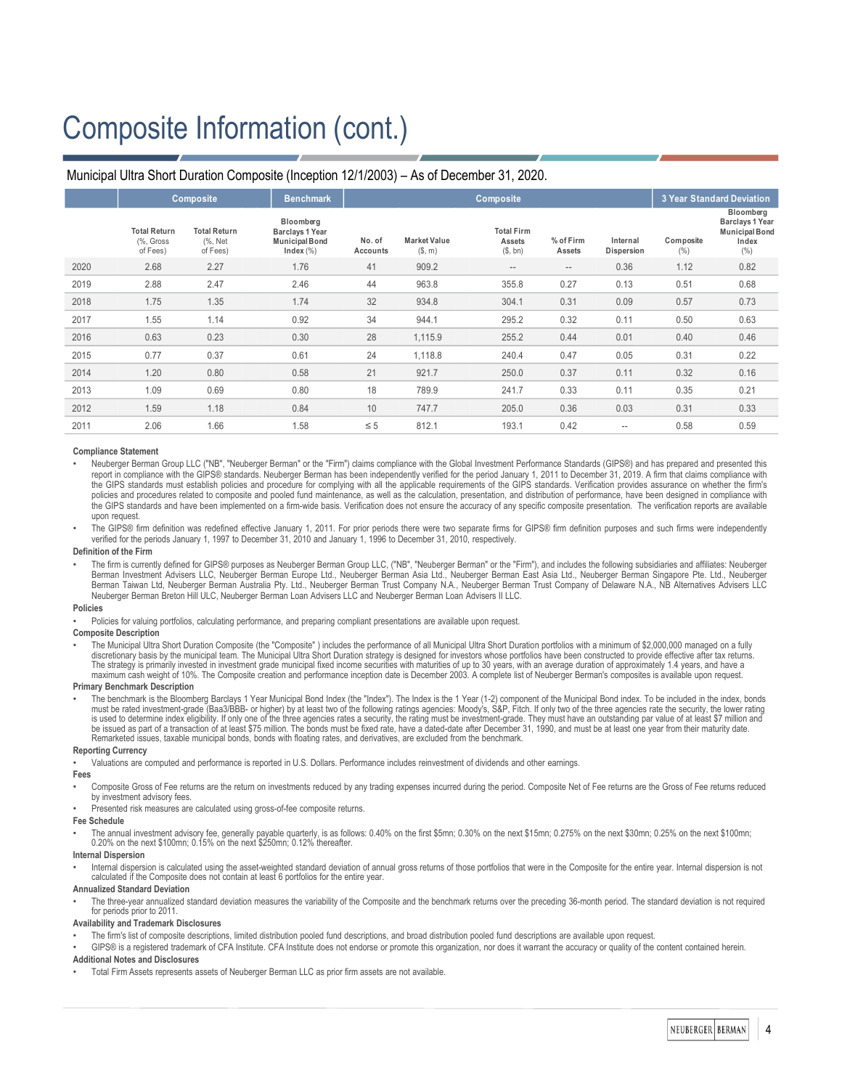# Composite Information (cont.)

#### **Composite Benchmark Composite 3 Year Standard Deviation Total Return** (%, Gross of Fees) **Total Return** (%, Net of Fees) **Bloomberg Barclays 1 Year Municipal Bond Index** (%) **No. of Accounts Market Value** (\$, m) **Total Firm Assets** (\$, bn) **% of Firm Assets Internal Dispersion Composite**  $(%)$ **Bloomberg Barclays 1 Year Municipal Bond Index**  $(9/6)$ 2020 2.68 2.27 1.76 41 909.2 - - - - 0.36 1.12 0.82 2019 2.88 2.47 2.46 44 963.8 355.8 0.27 0.13 0.51 0.68 2018 1.75 1.35 1.74 32 934.8 304.1 0.31 0.09 0.57 0.73 2017 1.55 1.14 0.92 34 944.1 295.2 0.32 0.11 0.50 0.63 2016 0.63 0.23 0.30 28 1,115.9 255.2 0.44 0.01 0.40 0.46 2015 0.77 0.37 0.61 24 1,118.8 240.4 0.47 0.05 0.31 0.22 2014 1.20 0.80 0.58 21 921.7 250.0 0.37 0.11 0.32 0.16 2013 1.09 0.69 0.80 18 789.9 241.7 0.33 0.11 0.35 0.21 2012 1.59 1.18 0.84 10 747.7 205.0 0.36 0.03 0.31 0.33 2011 2.06 1.66 1.58 ≤ 5 812.1 193.1 0.42 - - 0.58 0.59

## Municipal Ultra Short Duration Composite (Inception 12/1/2003) – As of December 31, 2020.

#### **Compliance Statement**

• Neuberger Berman Group LLC ("NB", "Neuberger Berman" or the "Firm") claims compliance with the Global Investment Performance Standards (GIPS®) and has prepared and presented this report in compliance with the GIPS® standards. Neuberger Berman has been independently verified for the period January 1, 2011 to December 31, 2019. A firm that claims compliance with<br>the GIPS standards must establish poli policies and procedures related to composite and pooled fund maintenance, as well as the calculation, presentation, and distribution of performance, have been designed in compliance with the GIPS standards and have been implemented on a firm-wide basis. Verification does not ensure the accuracy of any specific composite presentation. The verification reports are available upon request.

The GIPS® firm definition was redefined effective January 1, 2011. For prior periods there were two separate firms for GIPS® firm definition purposes and such firms were independently<br>verified for the periods January 1, 19

#### **Definition of the Firm**

The firm is currently defined for GIPS® purposes as Neuberger Berman Group LLC, ("NB", "Neuberger Berman" or the "Firm"), and includes the following subsidiaries and affiliates: Neuberger Berman Investment Advisers LLC, Neuberger Berman Europe Ltd., Neuberger Berman Asia Ltd., Neuberger Berman Singapore Pte. Ltd., Neuberger Berman Singapore Pte. Ltd., Neuberger<br>Berman Taiwan Ltd, Neuberger Berman Australia Neuberger Berman Breton Hill ULC, Neuberger Berman Loan Advisers LLC and Neuberger Berman Loan Advisers II LLC.

#### **Policies**

Policies for valuing portfolios, calculating performance, and preparing compliant presentations are available upon request.

#### **Composite Description**

The Municipal Ultra Short Duration Composite (the "Composite") includes the performance of all Municipal Ultra Short Duration portfolios with a minimum of \$2,000,000 managed on a fully discretionary basis by the municipal team. The Municipal Ultra Short Duration strategy is designed for investors whose portfolios have been constructed to provide effective after tax returns.<br>The strategy is primarily inve maximum cash weight of 10%. The Composite creation and performance inception date is December 2003. A complete list of Neuberger Berman's composites is available upon request.

#### **Primary Benchmark Description**

The benchmark is the Bloomberg Barclays 1 Year Municipal Bond Index (the "Index"). The Index is the 1 Year (1-2) component of the Municipal Bond index. To be included in the index, bonds<br>must be rated investment-grade (Baa be issued as part of a transaction of at least \$75 million. The bonds must be fixed rate, have a dated-date after December 31, 1990, and must be at least one year from their maturity date. Remarketed issues, taxable municipal bonds, bonds with floating rates, and derivatives, are excluded from the benchmark.

#### **Reporting Currency**

• Valuations are computed and performance is reported in U.S. Dollars. Performance includes reinvestment of dividends and other earnings.

#### **Fees**

- Composite Gross of Fee returns are the return on investments reduced by any trading expenses incurred during the period. Composite Net of Fee returns are the Gross of Fee returns reduced by investment advisory fees.
- Presented risk measures are calculated using gross-of-fee composite returns.

#### **Fee Schedule**

• The annual investment advisory fee, generally payable quarterly, is as follows: 0.40% on the first \$5mn; 0.30% on the next \$15mn; 0.275% on the next \$30mn; 0.25% on the next \$100mn; 0.20% on the next \$100mn; 0.15% on the next \$250mn; 0.12% thereafter.

#### **Internal Dispersion**

Internal dispersion is calculated using the asset-weighted standard deviation of annual gross returns of those portfolios that were in the Composite for the entire year. Internal dispersion is not calculated if the Composite does not contain at least 6 portfolios for the entire year.

#### **Annualized Standard Deviation**

The three-year annualized standard deviation measures the variability of the Composite and the benchmark returns over the preceding 36-month period. The standard deviation is not required for periods prior to 2011.

#### **Availability and Trademark Disclosures**

- The firm's list of composite descriptions, limited distribution pooled fund descriptions, and broad distribution pooled fund descriptions are available upon request.
- GIPS® is a registered trademark of CFA Institute. CFA Institute does not endorse or promote this organization, nor does it warrant the accuracy or quality of the content contained herein.

#### **Additional Notes and Disclosures**

• Total Firm Assets represents assets of Neuberger Berman LLC as prior firm assets are not available.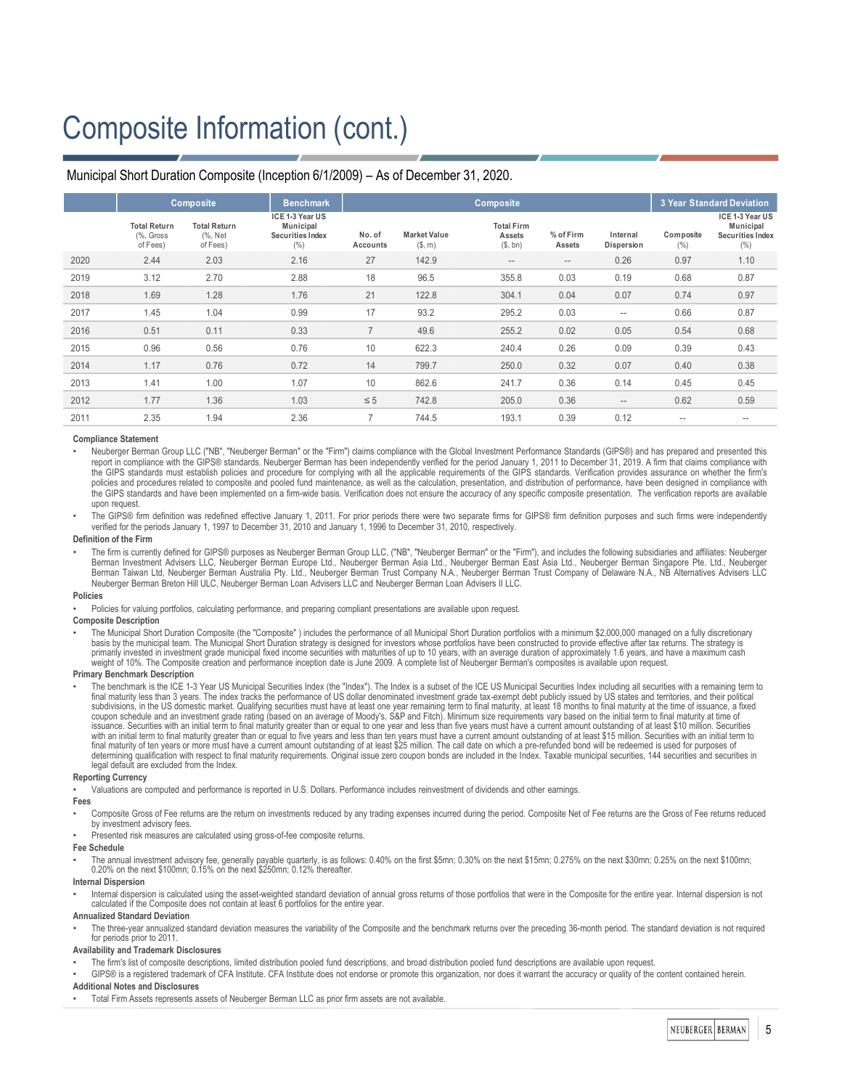# Composite Information (cont.)

|      | <b>Composite</b>                             |                                            | <b>Benchmark</b>                                         |                    |                               |                                         | <b>3 Year Standard Deviation</b> |                        |                   |                                                          |
|------|----------------------------------------------|--------------------------------------------|----------------------------------------------------------|--------------------|-------------------------------|-----------------------------------------|----------------------------------|------------------------|-------------------|----------------------------------------------------------|
|      | <b>Total Return</b><br>(%, Gross<br>of Fees) | <b>Total Return</b><br>(%, Net<br>of Fees) | ICE 1-3 Year US<br>Municipal<br>Securities Index<br>(% ) | No. of<br>Accounts | <b>Market Value</b><br>(S, m) | <b>Total Firm</b><br>Assets<br>(\$, bn) | % of Firm<br>Assets              | Internal<br>Dispersion | Composite<br>(% ) | ICE 1-3 Year US<br>Municipal<br>Securities Index<br>(% ) |
| 2020 | 2.44                                         | 2.03                                       | 2.16                                                     | 27                 | 142.9                         | $- -$                                   | $\qquad \qquad -$                | 0.26                   | 0.97              | 1.10                                                     |
| 2019 | 3.12                                         | 2.70                                       | 2.88                                                     | 18                 | 96.5                          | 355.8                                   | 0.03                             | 0.19                   | 0.68              | 0.87                                                     |
| 2018 | 1.69                                         | 1.28                                       | 1.76                                                     | 21                 | 122.8                         | 304.1                                   | 0.04                             | 0.07                   | 0.74              | 0.97                                                     |
| 2017 | 1.45                                         | 1.04                                       | 0.99                                                     | 17                 | 93.2                          | 295.2                                   | 0.03                             | $- -$                  | 0.66              | 0.87                                                     |
| 2016 | 0.51                                         | 0.11                                       | 0.33                                                     | $\overline{7}$     | 49.6                          | 255.2                                   | 0.02                             | 0.05                   | 0.54              | 0.68                                                     |
| 2015 | 0.96                                         | 0.56                                       | 0.76                                                     | 10                 | 622.3                         | 240.4                                   | 0.26                             | 0.09                   | 0.39              | 0.43                                                     |
| 2014 | 1.17                                         | 0.76                                       | 0.72                                                     | 14                 | 799.7                         | 250.0                                   | 0.32                             | 0.07                   | 0.40              | 0.38                                                     |
| 2013 | 1.41                                         | 1.00                                       | 1.07                                                     | 10                 | 862.6                         | 241.7                                   | 0.36                             | 0.14                   | 0.45              | 0.45                                                     |
| 2012 | 1.77                                         | 1.36                                       | 1.03                                                     | $\leq 5$           | 742.8                         | 205.0                                   | 0.36                             | $\qquad \qquad -$      | 0.62              | 0.59                                                     |
| 2011 | 2.35                                         | 1.94                                       | 2.36                                                     |                    | 744.5                         | 193.1                                   | 0.39                             | 0.12                   | $\frac{1}{2}$     | $-$                                                      |
|      |                                              |                                            |                                                          |                    |                               |                                         |                                  |                        |                   |                                                          |

## Municipal Short Duration Composite (Inception 6/1/2009) – As of December 31, 2020.

#### **Compliance Statement**

• Neuberger Berman Group LLC ("NB", "Neuberger Berman" or the "Firm") claims compliance with the Global Investment Performance Standards (GIPS®) and has prepared and presented this report in compliance with the GIPS® standards. Neuberger Berman has been independently verified for the period January 1, 2011 to December 31, 2019. A firm that claims compliance with the GIPS standards must establish policies and procedure for complying with all the applicable requirements of the GIPS standards. Verification provides assurance on whether the firm's policies and procedures related to composite and pooled fund maintenance, as well as the calculation, presentation, and distribution of performance, have been designed in compliance with the GIPS standards and have been implemented on a firm-wide basis. Verification does not ensure the accuracy of any specific composite presentation. The verification reports are available upon request.

The GIPS® firm definition was redefined effective January 1, 2011. For prior periods there were two separate firms for GIPS® firm definition purposes and such firms were independently verified for the periods January 1, 1997 to December 31, 2010 and January 1, 1996 to December 31, 2010, respectively.

#### **Definition of the Firm**

The firm is currently defined for GIPS® purposes as Neuberger Berman Group LLC, ("NB", "Neuberger Berman" or the "Firm"), and includes the following subsidiaries and affiliates: Neuberger Berman Investment Advisers LLC, Neuberger Berman Europe Ltd., Neuberger Berman Asia Ltd., Neuberger Berman East Asia Ltd., Neuberger Berman Singapore Pte. Ltd., Neuberger Berman Taiwan Ltd, Neuberger Berman Australia Pty. Ltd., Neuberger Berman Trust Company N.A., Neuberger Berman Trust Company of Delaware N.A., NB Alternatives Advisers LLC Neuberger Berman Breton Hill ULC, Neuberger Berman Loan Advisers LLC and Neuberger Berman Loan Advisers II LLC.

#### **Policies**

• Policies for valuing portfolios, calculating performance, and preparing compliant presentations are available upon request.

#### **Composite Description**

• The Municipal Short Duration Composite (the "Composite" ) includes the performance of all Municipal Short Duration portfolios with a minimum \$2,000,000 managed on a fully discretionary basis by the municipal team. The Municipal Short Duration strategy is designed for investors whose portfolios have been constructed to provide effective after tax returns. The strategy is vinvested in investment grade municipal fixed income securities with maturities of up to 10 years, with an average duration of approximately 1.6 years, and have a maximum c weight of 10%. The Composite creation and performance inception date is June 2009. A complete list of Neuberger Berman's composites is available upon request.

#### **Primary Benchmark Description**

The benchmark is the ICE 1-3 Year US Municipal Securities Index (the "Index"). The Index is a subset of the ICE US Municipal Securities Index including all securities with a remaining term to final maturity less than 3 years. The index tracks the performance of US dollar denominated investment grade tax-exempt debt publicly issued by US states and territories, and their political subdivisions, in the US domestic market. Qualifying securities must have at least one year remaining term to final maturity, at least 18 months to final maturity at the time of issuance, a fixed<br>coupon schedule and an inve with an initial term to final maturity greater than or equal to five years and less than ten years must have a current amount outstanding of at least \$15 million. Securities with an initial term to<br>final maturity of ten ye determining qualification with respect to final maturity requirements. Original issue zero coupon bonds are included in the Index. Taxable municipal securities, 144 securities and securities in<br>legal default are excluded f

### **Reporting Currency**

• Valuations are computed and performance is reported in U.S. Dollars. Performance includes reinvestment of dividends and other earnings.

#### **Fees**

Composite Gross of Fee returns are the return on investments reduced by any trading expenses incurred during the period. Composite Net of Fee returns are the Gross of Fee returns reduced by investment advisory fees.

• Presented risk measures are calculated using gross-of-fee composite returns.

#### **Fee Schedule**

• The annual investment advisory fee, generally payable quarterly, is as follows: 0.40% on the first \$5mn; 0.30% on the next \$15mn; 0.275% on the next \$30mn; 0.25% on the next \$100mn; 0.20% on the next \$100mn; 0.15% on the next \$250mn; 0.12% thereafter.

#### **Internal Dispersion**

Internal dispersion is calculated using the asset-weighted standard deviation of annual gross returns of those portfolios that were in the Composite for the entire year. Internal dispersion is not calculated if the Composite does not contain at least 6 portfolios for the entire year.

#### **Annualized Standard Deviation**

The three-year annualized standard deviation measures the variability of the Composite and the benchmark returns over the preceding 36-month period. The standard deviation is not required for periods prior to 2011.

#### **Availability and Trademark Disclosures**

• The firm's list of composite descriptions, limited distribution pooled fund descriptions, and broad distribution pooled fund descriptions are available upon request.

GIPS® is a registered trademark of CFA Institute. CFA Institute does not endorse or promote this organization, nor does it warrant the accuracy or quality of the content contained herein. **Additional Notes and Disclosures**

• Total Firm Assets represents assets of Neuberger Berman LLC as prior firm assets are not available.